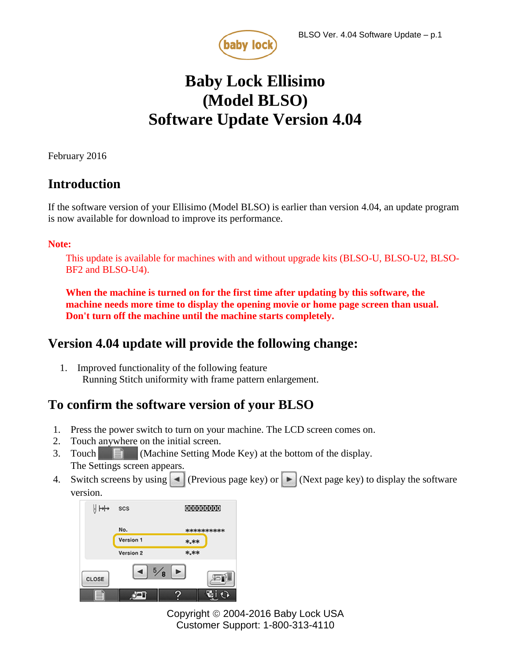

# **Baby Lock Ellisimo (Model BLSO) Software Update Version 4.04**

February 2016

## **Introduction**

If the software version of your Ellisimo (Model BLSO) is earlier than version 4.04, an update program is now available for download to improve its performance.

#### **Note:**

This update is available for machines with and without upgrade kits (BLSO-U, BLSO-U2, BLSO-BF2 and BLSO-U4).

**When the machine is turned on for the first time after updating by this software, the machine needs more time to display the opening movie or home page screen than usual. Don't turn off the machine until the machine starts completely.**

## **Version 4.04 update will provide the following change:**

1. Improved functionality of the following feature Running Stitch uniformity with frame pattern enlargement.

## **To confirm the software version of your BLSO**

- 1. Press the power switch to turn on your machine. The LCD screen comes on.
- 2. Touch anywhere on the initial screen.
- 3. Touch (Machine Setting Mode Key) at the bottom of the display. The Settings screen appears.
- 4. Switch screens by using  $\blacksquare$  (Previous page key) or  $\blacksquare$  (Next page key) to display the software version.

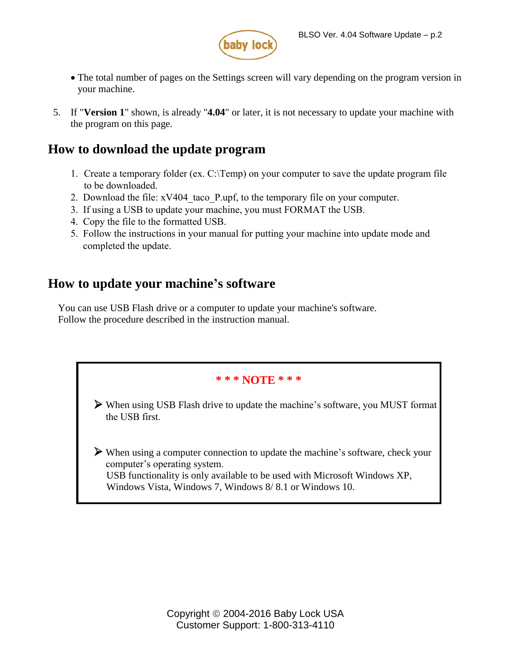

- The total number of pages on the Settings screen will vary depending on the program version in your machine.
- 5. If "**Version 1**" shown, is already "**4.04**" or later, it is not necessary to update your machine with the program on this page.

## **How to download the update program**

- 1. Create a temporary folder (ex. C:\Temp) on your computer to save the update program file to be downloaded.
- 2. Download the file: xV404\_taco\_P.upf, to the temporary file on your computer.
- 3. If using a USB to update your machine, you must FORMAT the USB.
- 4. Copy the file to the formatted USB.
- 5. Follow the instructions in your manual for putting your machine into update mode and [completed the upda](http://media.babylock.com/updates/xV404_taco_P.upf)te.

## **How to update your machine's software**

You can use USB Flash drive or a computer to update your machine's software. Follow the procedure described in the instruction manual.

# **\* \* \* NOTE \* \* \*** When using USB Flash drive to update the machine's software, you MUST format the USB first. When using a computer connection to update the machine's software, check your computer's operating system. USB functionality is only available to be used with Microsoft Windows XP, Windows Vista, Windows 7, Windows 8/ 8.1 or Windows 10.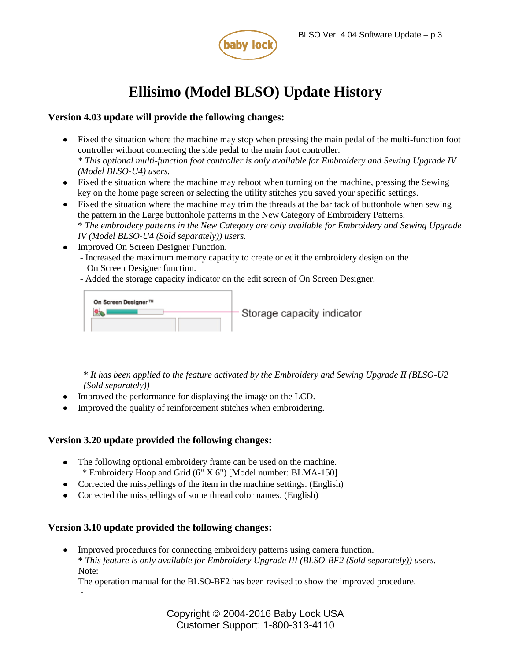

## **Ellisimo (Model BLSO) Update History**

#### **Version 4.03 update will provide the following changes:**

- Fixed the situation where the machine may stop when pressing the main pedal of the multi-function foot controller without connecting the side pedal to the main foot controller. *\* This optional multi-function foot controller is only available for Embroidery and Sewing Upgrade IV (Model BLSO-U4) users.*
- Fixed the situation where the machine may reboot when turning on the machine, pressing the Sewing key on the home page screen or selecting the utility stitches you saved your specific settings.
- Fixed the situation where the machine may trim the threads at the bar tack of buttonhole when sewing the pattern in the Large buttonhole patterns in the New Category of Embroidery Patterns. \* *The embroidery patterns in the New Category are only available for Embroidery and Sewing Upgrade IV (Model BLSO-U4 (Sold separately)) users.*
- Improved On Screen Designer Function.
	- Increased the maximum memory capacity to create or edit the embroidery design on the On Screen Designer function.
	- Added the storage capacity indicator on the edit screen of On Screen Designer.



\* *It has been applied to the feature activated by the Embroidery and Sewing Upgrade II (BLSO-U2 (Sold separately))*

- Improved the performance for displaying the image on the LCD.
- Improved the quality of reinforcement stitches when embroidering.

#### **Version 3.20 update provided the following changes:**

- The following optional embroidery frame can be used on the machine. \* Embroidery Hoop and Grid (6" X 6") [Model number: BLMA-150]
- Corrected the misspellings of the item in the machine settings. (English)
- Corrected the misspellings of some thread color names. (English)

#### **Version 3.10 update provided the following changes:**

-

 Improved procedures for connecting embroidery patterns using camera function. \* *This feature is only available for Embroidery Upgrade III (BLSO-BF2 (Sold separately)) users.* Note:

The operation manual for the BLSO-BF2 has been revised to show the improved procedure.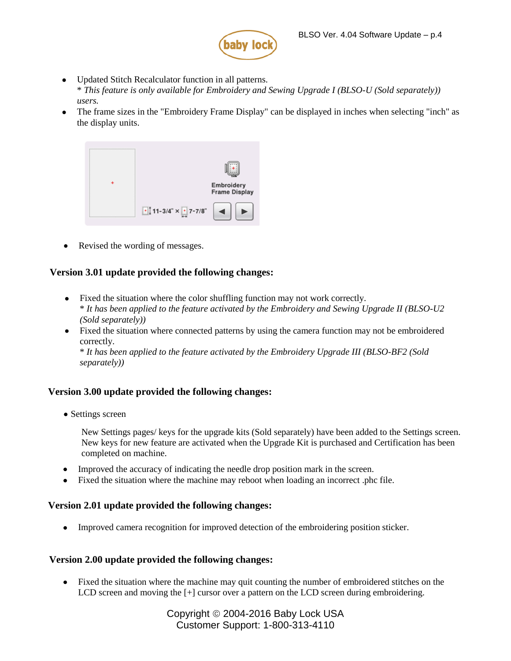

- Update[d Stitch Recalculator function in all patterns.](http://www.babylock.com/ftp/whitepapers/BLSO-BF2_English_KIT3_v310.pdf) \* *This f[eature is only available for Embroidery and Sewing Upgrade](http://www.babylock.com/ftp/whitepapers/Sample_PES_Designs.zip) I (BLSO-U (Sold separately)) users.*
- The frame sizes in the "Embroidery Frame Display" can be displayed in inches when selecting "inch" as the display units.



• Revised the wording of messages.

#### **Version 3.01 update provided the following changes:**

- Fixed the situation where the color shuffling function may not work correctly. \* *It has been applied to the feature activated by the Embroidery and Sewing Upgrade II (BLSO-U2 (Sold separately))*
- Fixed the situation where connected patterns by using the camera function may not be embroidered correctly.

\* *It has been applied to the feature activated by the Embroidery Upgrade III (BLSO-BF2 (Sold separately))*

#### **Version 3.00 update provided the following changes:**

• Settings screen

New Settings pages/ keys for the upgrade kits (Sold separately) have been added to the Settings screen. New keys for new feature are activated when the Upgrade Kit is purchased and Certification has been completed on machine.

- Improved the accuracy of indicating the needle drop position mark in the screen.
- Fixed the situation where the machine may reboot when loading an incorrect .phc file.

#### **Version 2.01 update provided the following changes:**

Improved camera recognition for improved detection of the embroidering position sticker.

#### **Version 2.00 update provided the following changes:**

 Fixed the situation where the machine may quit counting the number of embroidered stitches on the LCD screen and moving the  $[+]$  cursor over a pattern on the LCD screen during embroidering.